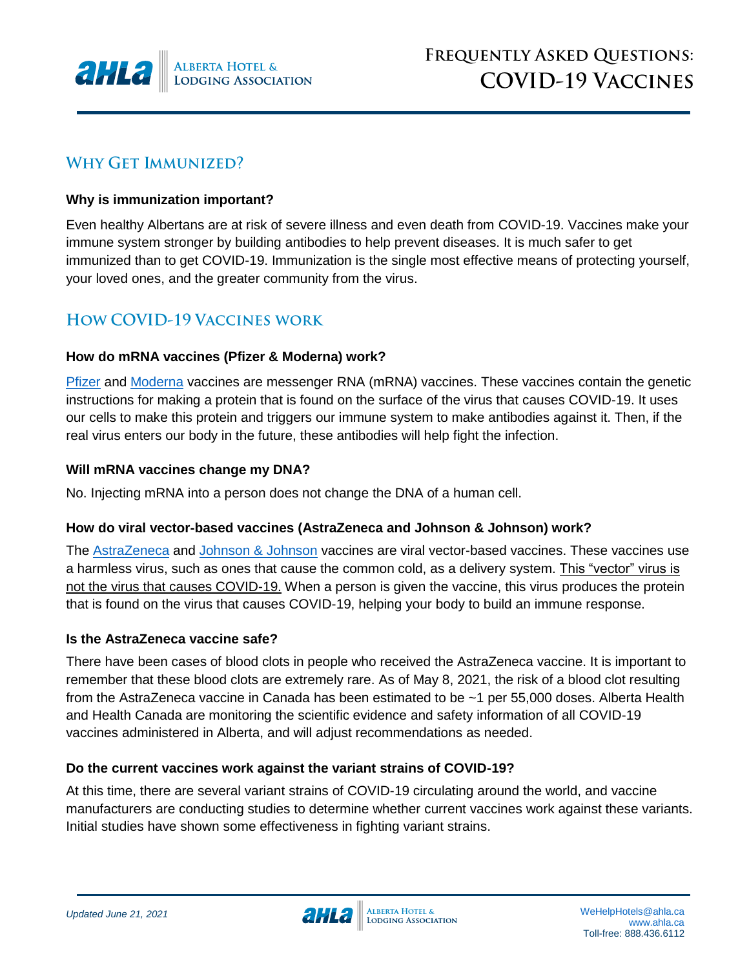

# **WHY GET IMMUNIZED?**

### **Why is immunization important?**

Even healthy Albertans are at risk of severe illness and even death from COVID-19. Vaccines make your immune system stronger by building antibodies to help prevent diseases. It is much safer to get immunized than to get COVID-19. Immunization is the single most effective means of protecting yourself, your loved ones, and the greater community from the virus.

# **HOW COVID-19 VACCINES WORK**

### **How do mRNA vaccines (Pfizer & Moderna) work?**

[Pfizer](https://www.canada.ca/en/health-canada/services/drugs-health-products/covid19-industry/drugs-vaccines-treatments/vaccines/pfizer-biontech.html#a2) and [Moderna](https://www.canada.ca/en/health-canada/services/drugs-health-products/covid19-industry/drugs-vaccines-treatments/vaccines/moderna.html#a2) vaccines are messenger RNA (mRNA) vaccines. These vaccines contain the genetic instructions for making a protein that is found on the surface of the virus that causes COVID-19. It uses our cells to make this protein and triggers our immune system to make antibodies against it. Then, if the real virus enters our body in the future, these antibodies will help fight the infection.

### **Will mRNA vaccines change my DNA?**

No. Injecting mRNA into a person does not change the DNA of a human cell.

## **How do viral vector-based vaccines (AstraZeneca and Johnson & Johnson) work?**

The [AstraZeneca](https://www.canada.ca/en/health-canada/services/drugs-health-products/covid19-industry/drugs-vaccines-treatments/vaccines/astrazeneca.html) and [Johnson & Johnson](https://www.canada.ca/en/health-canada/services/drugs-health-products/covid19-industry/drugs-vaccines-treatments/vaccines/janssen.html) vaccines are viral vector-based vaccines. These vaccines use a harmless virus, such as ones that cause the common cold, as a delivery system. This "vector" virus is not the virus that causes COVID-19. When a person is given the vaccine, this virus produces the protein that is found on the virus that causes COVID-19, helping your body to build an immune response.

## **Is the AstraZeneca vaccine safe?**

There have been cases of blood clots in people who received the AstraZeneca vaccine. It is important to remember that these blood clots are extremely rare. As of May 8, 2021, the risk of a blood clot resulting from the AstraZeneca vaccine in Canada has been estimated to be ~1 per 55,000 doses. Alberta Health and Health Canada are monitoring the scientific evidence and safety information of all COVID-19 vaccines administered in Alberta, and will adjust recommendations as needed.

## **Do the current vaccines work against the variant strains of COVID-19?**

At this time, there are several variant strains of COVID-19 circulating around the world, and vaccine manufacturers are conducting studies to determine whether current vaccines work against these variants. Initial studies have shown some effectiveness in fighting variant strains.